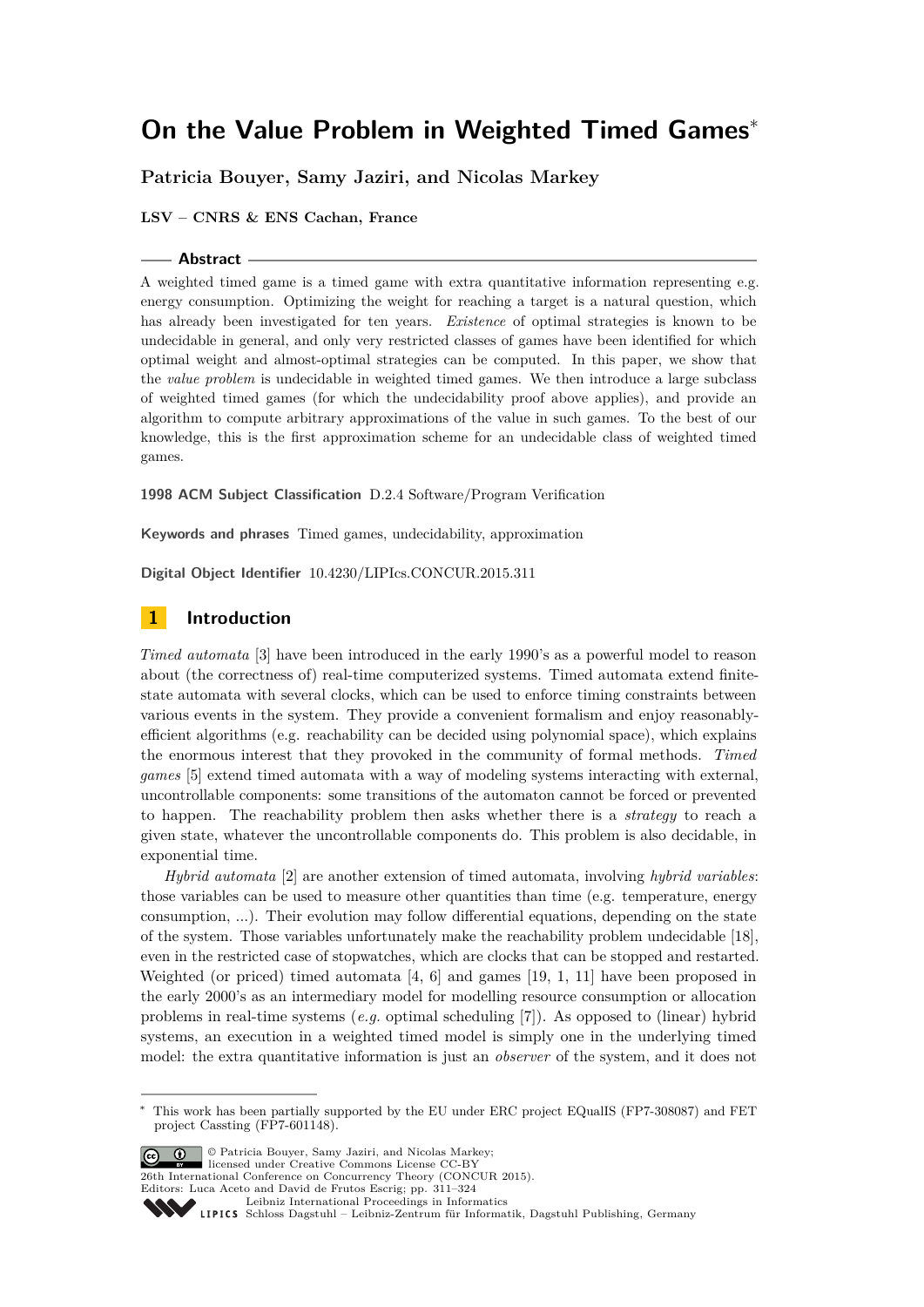# **Patricia Bouyer, Samy Jaziri, and Nicolas Markey**

**LSV – CNRS & ENS Cachan, France**

#### **Abstract**

A weighted timed game is a timed game with extra quantitative information representing e.g. energy consumption. Optimizing the weight for reaching a target is a natural question, which has already been investigated for ten years. *Existence* of optimal strategies is known to be undecidable in general, and only very restricted classes of games have been identified for which optimal weight and almost-optimal strategies can be computed. In this paper, we show that the *value problem* is undecidable in weighted timed games. We then introduce a large subclass of weighted timed games (for which the undecidability proof above applies), and provide an algorithm to compute arbitrary approximations of the value in such games. To the best of our knowledge, this is the first approximation scheme for an undecidable class of weighted timed games.

**1998 ACM Subject Classification** D.2.4 Software/Program Verification

**Keywords and phrases** Timed games, undecidability, approximation

**Digital Object Identifier** [10.4230/LIPIcs.CONCUR.2015.311](http://dx.doi.org/10.4230/LIPIcs.CONCUR.2015.311)

# **1 Introduction**

*Timed automata* [\[3\]](#page-12-0) have been introduced in the early 1990's as a powerful model to reason about (the correctness of) real-time computerized systems. Timed automata extend finitestate automata with several clocks, which can be used to enforce timing constraints between various events in the system. They provide a convenient formalism and enjoy reasonablyefficient algorithms (e.g. reachability can be decided using polynomial space), which explains the enormous interest that they provoked in the community of formal methods. *Timed games* [\[5\]](#page-12-1) extend timed automata with a way of modeling systems interacting with external, uncontrollable components: some transitions of the automaton cannot be forced or prevented to happen. The reachability problem then asks whether there is a *strategy* to reach a given state, whatever the uncontrollable components do. This problem is also decidable, in exponential time.

*Hybrid automata* [\[2\]](#page-12-2) are another extension of timed automata, involving *hybrid variables*: those variables can be used to measure other quantities than time (e.g. temperature, energy consumption, ...). Their evolution may follow differential equations, depending on the state of the system. Those variables unfortunately make the reachability problem undecidable [\[18\]](#page-13-0), even in the restricted case of stopwatches, which are clocks that can be stopped and restarted. Weighted (or priced) timed automata [\[4,](#page-12-3) [6\]](#page-13-1) and games [\[19,](#page-13-2) [1,](#page-12-4) [11\]](#page-13-3) have been proposed in the early 2000's as an intermediary model for modelling resource consumption or allocation problems in real-time systems (*e.g.* optimal scheduling [\[7\]](#page-13-4)). As opposed to (linear) hybrid systems, an execution in a weighted timed model is simply one in the underlying timed model: the extra quantitative information is just an *observer* of the system, and it does not

© Patricia Bouyer, Samy Jaziri, and Nicolas Markey; licensed under Creative Commons License CC-BY

26th International Conference on Concurrency Theory (CONCUR 2015).

Editors: Luca Aceto and David de Frutos Escrig; pp. 311[–324](#page-13-5)

[Leibniz International Proceedings in Informatics](http://www.dagstuhl.de/lipics/)

<sup>∗</sup> This work has been partially supported by the EU under ERC project EQualIS (FP7-308087) and FET project Cassting (FP7-601148).

SCHLOSS Dagstuhl – Leibniz-Zentrum für Informatik, Dagstuhl Publishing, Germany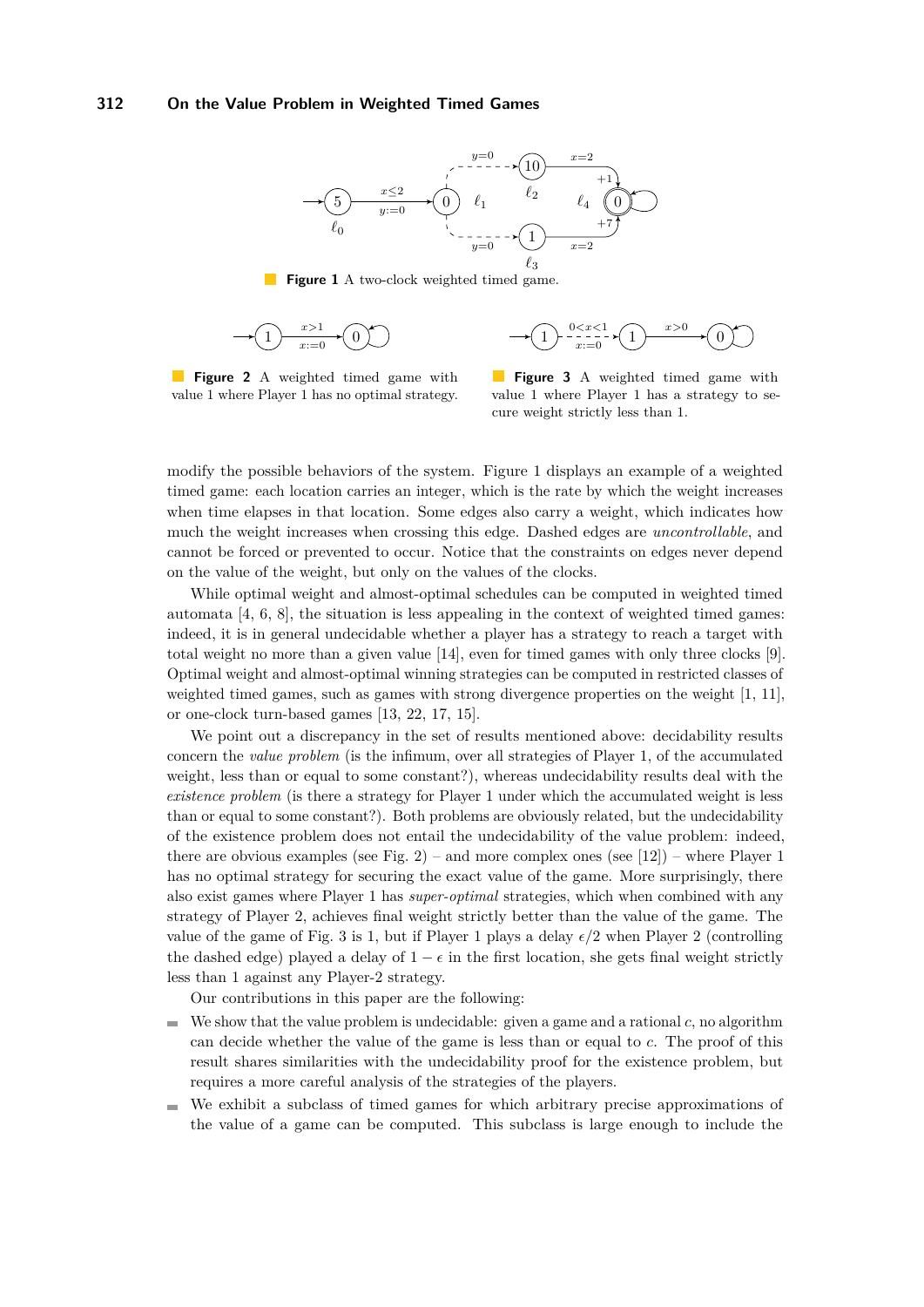<span id="page-1-0"></span>

**Figure 1** A two-clock weighted timed game.

$$
\longrightarrow \textcircled{1} \xrightarrow{x>1} \textcircled{0} \textcircled{1} \xrightarrow{x=0} \textcircled{1} \xrightarrow{x>0} \textcircled{1} \xrightarrow{x>0} \textcircled{0}
$$

**Figure 2** A weighted timed game with value 1 where Player 1 has no optimal strategy.

**Figure 3** A weighted timed game with value 1 where Player 1 has a strategy to secure weight strictly less than 1.

modify the possible behaviors of the system. Figure [1](#page-1-0) displays an example of a weighted timed game: each location carries an integer, which is the rate by which the weight increases when time elapses in that location. Some edges also carry a weight, which indicates how much the weight increases when crossing this edge. Dashed edges are *uncontrollable*, and cannot be forced or prevented to occur. Notice that the constraints on edges never depend on the value of the weight, but only on the values of the clocks.

While optimal weight and almost-optimal schedules can be computed in weighted timed automata  $[4, 6, 8]$  $[4, 6, 8]$  $[4, 6, 8]$  $[4, 6, 8]$  $[4, 6, 8]$ , the situation is less appealing in the context of weighted timed games: indeed, it is in general undecidable whether a player has a strategy to reach a target with total weight no more than a given value [\[14\]](#page-13-7), even for timed games with only three clocks [\[9\]](#page-13-8). Optimal weight and almost-optimal winning strategies can be computed in restricted classes of weighted timed games, such as games with strong divergence properties on the weight [\[1,](#page-12-4) [11\]](#page-13-3), or one-clock turn-based games [\[13,](#page-13-9) [22,](#page-13-10) [17,](#page-13-11) [15\]](#page-13-12).

We point out a discrepancy in the set of results mentioned above: decidability results concern the *value problem* (is the infimum, over all strategies of Player 1, of the accumulated weight, less than or equal to some constant?), whereas undecidability results deal with the *existence problem* (is there a strategy for Player 1 under which the accumulated weight is less than or equal to some constant?). Both problems are obviously related, but the undecidability of the existence problem does not entail the undecidability of the value problem: indeed, there are obvious examples (see Fig. [2\)](#page-1-0) – and more complex ones (see [\[12\]](#page-13-13)) – where Player 1 has no optimal strategy for securing the exact value of the game. More surprisingly, there also exist games where Player 1 has *super-optimal* strategies, which when combined with any strategy of Player 2, achieves final weight strictly better than the value of the game. The value of the game of Fig. [3](#page-1-0) is 1, but if Player 1 plays a delay  $\epsilon/2$  when Player 2 (controlling the dashed edge) played a delay of  $1 - \epsilon$  in the first location, she gets final weight strictly less than 1 against any Player-2 strategy.

Our contributions in this paper are the following:

- We show that the value problem is undecidable: given a game and a rational *c*, no algorithm can decide whether the value of the game is less than or equal to *c*. The proof of this result shares similarities with the undecidability proof for the existence problem, but requires a more careful analysis of the strategies of the players.
- We exhibit a subclass of timed games for which arbitrary precise approximations of the value of a game can be computed. This subclass is large enough to include the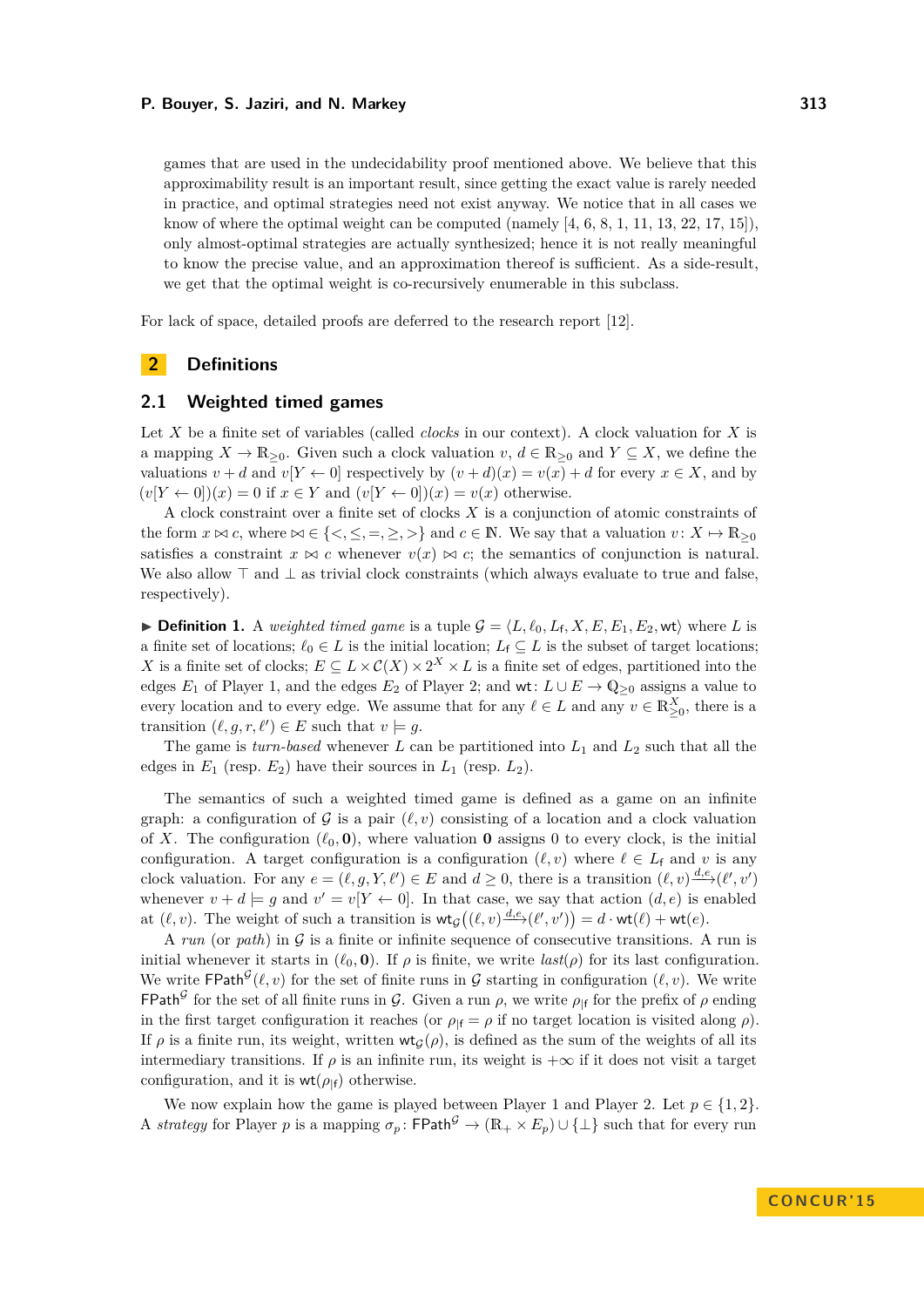games that are used in the undecidability proof mentioned above. We believe that this approximability result is an important result, since getting the exact value is rarely needed in practice, and optimal strategies need not exist anyway. We notice that in all cases we know of where the optimal weight can be computed (namely  $[4, 6, 8, 1, 11, 13, 22, 17, 15]$  $[4, 6, 8, 1, 11, 13, 22, 17, 15]$  $[4, 6, 8, 1, 11, 13, 22, 17, 15]$  $[4, 6, 8, 1, 11, 13, 22, 17, 15]$  $[4, 6, 8, 1, 11, 13, 22, 17, 15]$  $[4, 6, 8, 1, 11, 13, 22, 17, 15]$  $[4, 6, 8, 1, 11, 13, 22, 17, 15]$  $[4, 6, 8, 1, 11, 13, 22, 17, 15]$  $[4, 6, 8, 1, 11, 13, 22, 17, 15]$  $[4, 6, 8, 1, 11, 13, 22, 17, 15]$  $[4, 6, 8, 1, 11, 13, 22, 17, 15]$  $[4, 6, 8, 1, 11, 13, 22, 17, 15]$  $[4, 6, 8, 1, 11, 13, 22, 17, 15]$  $[4, 6, 8, 1, 11, 13, 22, 17, 15]$  $[4, 6, 8, 1, 11, 13, 22, 17, 15]$  $[4, 6, 8, 1, 11, 13, 22, 17, 15]$  $[4, 6, 8, 1, 11, 13, 22, 17, 15]$ ), only almost-optimal strategies are actually synthesized; hence it is not really meaningful to know the precise value, and an approximation thereof is sufficient. As a side-result, we get that the optimal weight is co-recursively enumerable in this subclass.

For lack of space, detailed proofs are deferred to the research report [\[12\]](#page-13-13).

# **2 Definitions**

# **2.1 Weighted timed games**

Let *X* be a finite set of variables (called *clocks* in our context). A clock valuation for *X* is a mapping  $X \to \mathbb{R}_{\geq 0}$ . Given such a clock valuation  $v, d \in \mathbb{R}_{\geq 0}$  and  $Y \subseteq X$ , we define the valuations  $v + d$  and  $v[Y \leftarrow 0]$  respectively by  $(v + d)(x) = v(x) + d$  for every  $x \in X$ , and by  $(v[Y \leftarrow 0])(x) = 0$  if  $x \in Y$  and  $(v[Y \leftarrow 0])(x) = v(x)$  otherwise.

A clock constraint over a finite set of clocks *X* is a conjunction of atomic constraints of the form  $x \bowtie c$ , where  $\bowtie \in \{<,\leq,=,\geq,>\}$  and  $c \in \mathbb{N}$ . We say that a valuation  $v \colon X \mapsto \mathbb{R}_{\geq 0}$ satisfies a constraint  $x \bowtie c$  whenever  $v(x) \bowtie c$ ; the semantics of conjunction is natural. We also allow  $\top$  and  $\bot$  as trivial clock constraints (which always evaluate to true and false, respectively).

<span id="page-2-0"></span>**Definition 1.** A *weighted timed game* is a tuple  $G = \langle L, \ell_0, L_f, X, E, E_1, E_2, \text{wt} \rangle$  where *L* is a finite set of locations;  $\ell_0 \in L$  is the initial location;  $L_f \subseteq L$  is the subset of target locations; *X* is a finite set of clocks;  $E \subseteq L \times C(X) \times 2^X \times L$  is a finite set of edges, partitioned into the edges  $E_1$  of Player 1, and the edges  $E_2$  of Player 2; and wt:  $L \cup E \to \mathbb{Q}_{\geq 0}$  assigns a value to every location and to every edge. We assume that for any  $\ell \in L$  and any  $v \in \mathbb{R}^X_{\geq 0}$ , there is a transition  $(\ell, g, r, \ell') \in E$  such that  $v \models g$ .

The game is *turn-based* whenever  $L$  can be partitioned into  $L_1$  and  $L_2$  such that all the edges in  $E_1$  (resp.  $E_2$ ) have their sources in  $L_1$  (resp.  $L_2$ ).

The semantics of such a weighted timed game is defined as a game on an infinite graph: a configuration of  $\mathcal G$  is a pair  $(\ell, v)$  consisting of a location and a clock valuation of *X*. The configuration  $(\ell_0, \mathbf{0})$ , where valuation **0** assigns 0 to every clock, is the initial configuration. A target configuration is a configuration  $(\ell, v)$  where  $\ell \in L_f$  and v is any clock valuation. For any  $e = (\ell, g, Y, \ell') \in E$  and  $d \geq 0$ , there is a transition  $(\ell, v) \frac{d,e}{d\ell'}(\ell', v')$ whenever  $v + d \models g$  and  $v' = v[Y \leftarrow 0]$ . In that case, we say that action  $(d, e)$  is enabled at  $(\ell, v)$ . The weight of such a transition is  $\mathsf{wt}_{\mathcal{G}}((\ell, v) \xrightarrow{d,e} (\ell', v')) = d \cdot \mathsf{wt}(\ell) + \mathsf{wt}(e)$ .

A *run* (or *path*) in  $\mathcal G$  is a finite or infinite sequence of consecutive transitions. A run is initial whenever it starts in  $(\ell_0, \mathbf{0})$ . If  $\rho$  is finite, we write *last*( $\rho$ ) for its last configuration. We write  $\mathsf{FPath}^{\mathcal{G}}(\ell, v)$  for the set of finite runs in  $\mathcal{G}$  starting in configuration  $(\ell, v)$ . We write FPath<sup>G</sup> for the set of all finite runs in G. Given a run  $\rho$ , we write  $\rho_{|f}$  for the prefix of  $\rho$  ending in the first target configuration it reaches (or  $\rho_{\text{If}} = \rho$  if no target location is visited along  $\rho$ ). If  $\rho$  is a finite run, its weight, written  $wt_G(\rho)$ , is defined as the sum of the weights of all its intermediary transitions. If  $\rho$  is an infinite run, its weight is  $+\infty$  if it does not visit a target configuration, and it is  $wt(\rho_{\text{lf}})$  otherwise.

We now explain how the game is played between Player 1 and Player 2. Let  $p \in \{1, 2\}$ . A *strategy* for Player *p* is a mapping  $\sigma_p$ : FPath<sup> $\mathcal{G}$ </sup>  $\rightarrow (\mathbb{R}_+ \times E_p) \cup \{\perp\}$  such that for every run

**CON C U R ' 1 5**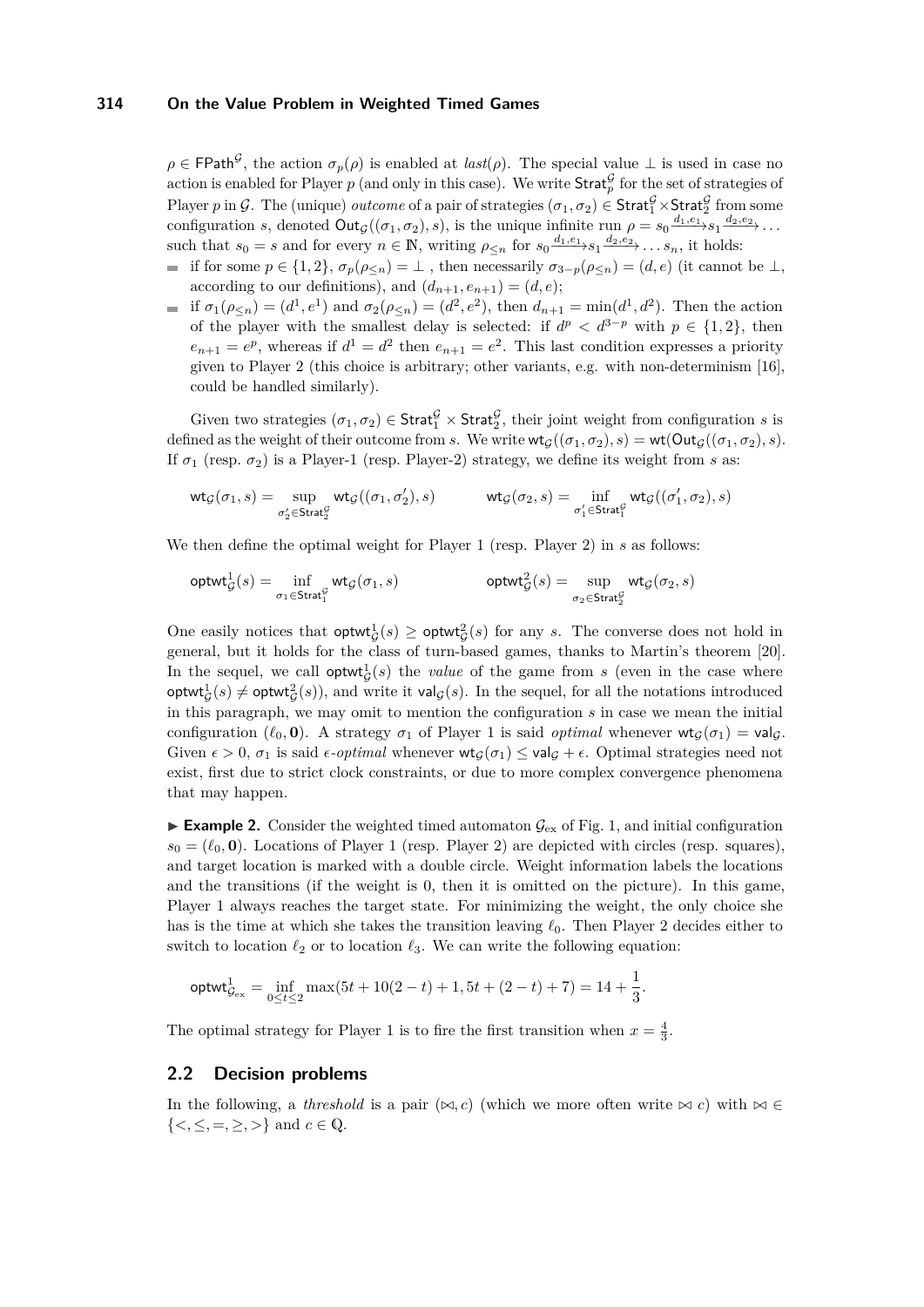$\rho \in \mathsf{FPath}^{\mathcal{G}}$ , the action  $\sigma_p(\rho)$  is enabled at *last*( $\rho$ ). The special value  $\perp$  is used in case no action is enabled for Player  $p$  (and only in this case). We write  $\text{Strat}_{p}^{\mathcal{G}}$  for the set of strategies of Player *p* in G. The (unique) *outcome* of a pair of strategies  $(\sigma_1, \sigma_2) \in \text{Strat}_1^{\mathcal{G}} \times \text{Strat}_2^{\mathcal{G}}$  from some configuration *s*, denoted  $Out_G((\sigma_1, \sigma_2), s)$ , is the unique infinite run  $\rho = s_0 \frac{d_1, e_1}{\cdots} s_1 \frac{d_2, e_2}{\cdots} \cdots$ such that  $s_0 = s$  and for every  $n \in \mathbb{N}$ , writing  $\rho_{\leq n}$  for  $s_0 \xrightarrow{d_1, e_1} s_1 \xrightarrow{d_2, e_2} \ldots s_n$ , it holds:

- $\blacksquare$  if for some  $p \in \{1,2\}, \sigma_p(\rho_{\leq n}) = \bot$ , then necessarily  $\sigma_{3-p}(\rho_{\leq n}) = (d,e)$  (it cannot be ⊥, according to our definitions), and  $(d_{n+1}, e_{n+1}) = (d, e);$
- if  $\sigma_1(\rho_{\leq n}) = (d^1, e^1)$  and  $\sigma_2(\rho_{\leq n}) = (d^2, e^2)$ , then  $d_{n+1} = \min(d^1, d^2)$ . Then the action of the player with the smallest delay is selected: if  $d^p < d^{3-p}$  with  $p \in \{1,2\}$ , then  $e_{n+1} = e^p$ , whereas if  $d^1 = d^2$  then  $e_{n+1} = e^2$ . This last condition expresses a priority given to Player 2 (this choice is arbitrary; other variants, e.g. with non-determinism [\[16\]](#page-13-14), could be handled similarly).

Given two strategies  $(\sigma_1, \sigma_2) \in \text{Strat}_1^{\mathcal{G}} \times \text{Strat}_2^{\mathcal{G}}$ , their joint weight from configuration *s* is defined as the weight of their outcome from *s*. We write  $\mathsf{wt}_{\mathcal{G}}((\sigma_1, \sigma_2), s) = \mathsf{wt}(\mathsf{Out}_{\mathcal{G}}((\sigma_1, \sigma_2), s)$ . If  $σ_1$  (resp.  $σ_2$ ) is a Player-1 (resp. Player-2) strategy, we define its weight from *s* as:

$$
\mathrm{wt}_{\mathcal{G}}(\sigma_1,s)=\sup_{\sigma_2'\in \mathrm{Strat}_2^{\mathcal{G}}}\mathrm{wt}_{\mathcal{G}}((\sigma_1,\sigma_2'),s)\qquad\qquad \mathrm{wt}_{\mathcal{G}}(\sigma_2,s)=\inf_{\sigma_1'\in \mathrm{Strat}_1^{\mathcal{G}}}\mathrm{wt}_{\mathcal{G}}((\sigma_1',\sigma_2),s)
$$

We then define the optimal weight for Player 1 (resp. Player 2) in *s* as follows:

$$
\mathsf{optwt}_\mathcal{G}^1(s) = \inf_{\sigma_1 \in \mathsf{Strat}_1^\mathcal{G}} \mathsf{wt}_\mathcal{G}(\sigma_1,s) \qquad \qquad \mathsf{optwt}_\mathcal{G}^2(s) = \sup_{\sigma_2 \in \mathsf{Strat}_2^\mathcal{G}} \mathsf{wt}_\mathcal{G}(\sigma_2,s)
$$

One easily notices that  $\text{optwt}_{\mathcal{G}}^1(s) \geq \text{optwt}_{\mathcal{G}}^2(s)$  for any *s*. The converse does not hold in general, but it holds for the class of turn-based games, thanks to Martin's theorem [\[20\]](#page-13-15). In the sequel, we call  $\text{optwt}_{\mathcal{G}}^1(s)$  the *value* of the game from *s* (even in the case where  $\textsf{optwt}_\mathcal{G}^1(s) \neq \textsf{optwt}_\mathcal{G}^2(s)$ , and write it val $\mathcal{G}(s)$ . In the sequel, for all the notations introduced in this paragraph, we may omit to mention the configuration *s* in case we mean the initial configuration ( $\ell_0$ , **0**). A strategy  $\sigma_1$  of Player 1 is said *optimal* whenever  $\mathsf{wt}_G(\sigma_1) = \mathsf{val}_G$ . Given  $\epsilon > 0$ ,  $\sigma_1$  is said  $\epsilon$ -*optimal* whenever  $\mathsf{wt}_\mathcal{G}(\sigma_1) \leq \mathsf{val}_\mathcal{G} + \epsilon$ . Optimal strategies need not exist, first due to strict clock constraints, or due to more complex convergence phenomena that may happen.

**Example 2.** Consider the weighted timed automaton  $\mathcal{G}_{\text{ex}}$  of Fig. [1,](#page-1-0) and initial configuration  $s_0 = (\ell_0, \mathbf{0})$ . Locations of Player 1 (resp. Player 2) are depicted with circles (resp. squares), and target location is marked with a double circle. Weight information labels the locations and the transitions (if the weight is 0, then it is omitted on the picture). In this game, Player 1 always reaches the target state. For minimizing the weight, the only choice she has is the time at which she takes the transition leaving  $\ell_0$ . Then Player 2 decides either to switch to location  $\ell_2$  or to location  $\ell_3$ . We can write the following equation:

$$
\mathsf{optwt}_{\mathcal{G}_{\mathrm{ex}}}^1 = \inf_{0 \leq t \leq 2} \max(5t+10(2-t)+1, 5t + (2-t) + 7) = 14 + \frac{1}{3}.
$$

The optimal strategy for Player 1 is to fire the first transition when  $x = \frac{4}{3}$ .

## **2.2 Decision problems**

In the following, a *threshold* is a pair  $(\infty, c)$  (which we more often write  $\infty$  *c*) with  $\infty \in$  $\{<,\leq,=,\geq,>\}$  and  $c \in \mathbb{Q}$ .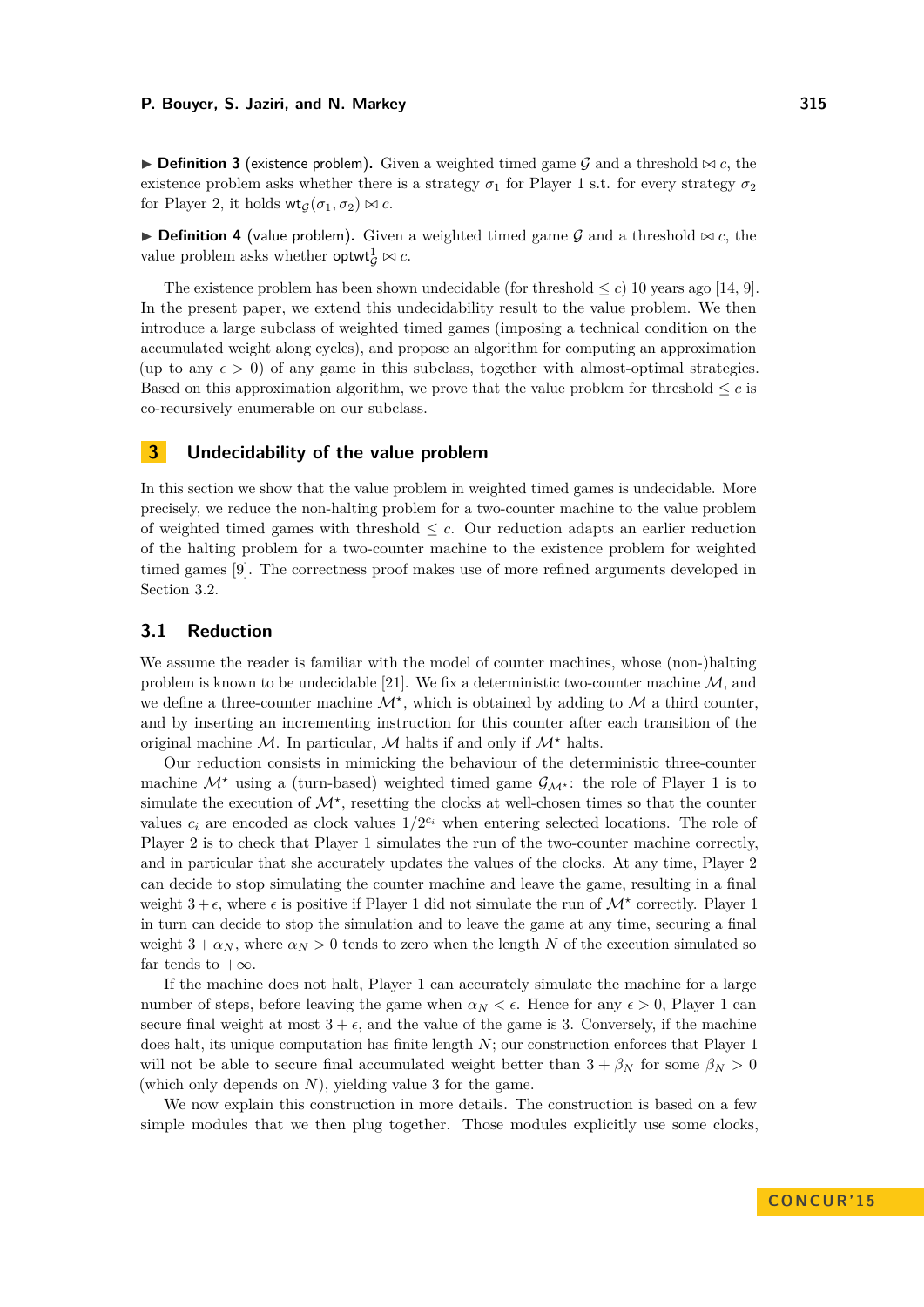**Definition 3** (existence problem). Given a weighted timed game G and a threshold  $\bowtie$  c, the existence problem asks whether there is a strategy  $\sigma_1$  for Player 1 s.t. for every strategy  $\sigma_2$ for Player 2, it holds  $\mathsf{wt}_G(\sigma_1, \sigma_2) \bowtie c$ .

**Definition 4** (value problem). Given a weighted timed game  $G$  and a threshold  $\bowtie$  c, the value problem asks whether **optwi** $_G^1 \bowtie c$ .

The existence problem has been shown undecidable (for threshold  $\leq c$ ) 10 years ago [\[14,](#page-13-7) [9\]](#page-13-8). In the present paper, we extend this undecidability result to the value problem. We then introduce a large subclass of weighted timed games (imposing a technical condition on the accumulated weight along cycles), and propose an algorithm for computing an approximation (up to any  $\epsilon > 0$ ) of any game in this subclass, together with almost-optimal strategies. Based on this approximation algorithm, we prove that the value problem for threshold  $\leq c$  is co-recursively enumerable on our subclass.

## <span id="page-4-0"></span>**3 Undecidability of the value problem**

In this section we show that the value problem in weighted timed games is undecidable. More precisely, we reduce the non-halting problem for a two-counter machine to the value problem of weighted timed games with threshold  $\leq c$ . Our reduction adapts an earlier reduction of the halting problem for a two-counter machine to the existence problem for weighted timed games [\[9\]](#page-13-8). The correctness proof makes use of more refined arguments developed in Section [3.2.](#page-6-0)

## **3.1 Reduction**

We assume the reader is familiar with the model of counter machines, whose (non-)halting problem is known to be undecidable [\[21\]](#page-13-16). We fix a deterministic two-counter machine  $\mathcal{M}$ , and we define a three-counter machine  $\mathcal{M}^*$ , which is obtained by adding to  $\mathcal M$  a third counter, and by inserting an incrementing instruction for this counter after each transition of the original machine  $M$ . In particular,  $M$  halts if and only if  $M^*$  halts.

Our reduction consists in mimicking the behaviour of the deterministic three-counter machine  $\mathcal{M}^*$  using a (turn-based) weighted timed game  $\mathcal{G}_{\mathcal{M}^*}$ : the role of Player 1 is to simulate the execution of  $\mathcal{M}^*$ , resetting the clocks at well-chosen times so that the counter values  $c_i$  are encoded as clock values  $1/2^{c_i}$  when entering selected locations. The role of Player 2 is to check that Player 1 simulates the run of the two-counter machine correctly, and in particular that she accurately updates the values of the clocks. At any time, Player 2 can decide to stop simulating the counter machine and leave the game, resulting in a final weight  $3 + \epsilon$ , where  $\epsilon$  is positive if Player 1 did not simulate the run of  $\mathcal{M}^*$  correctly. Player 1 in turn can decide to stop the simulation and to leave the game at any time, securing a final weight  $3 + \alpha_N$ , where  $\alpha_N > 0$  tends to zero when the length N of the execution simulated so far tends to  $+\infty$ .

If the machine does not halt, Player 1 can accurately simulate the machine for a large number of steps, before leaving the game when  $\alpha_N < \epsilon$ . Hence for any  $\epsilon > 0$ , Player 1 can secure final weight at most  $3 + \epsilon$ , and the value of the game is 3. Conversely, if the machine does halt, its unique computation has finite length *N*; our construction enforces that Player 1 will not be able to secure final accumulated weight better than  $3 + \beta_N$  for some  $\beta_N > 0$ (which only depends on *N*), yielding value 3 for the game.

We now explain this construction in more details. The construction is based on a few simple modules that we then plug together. Those modules explicitly use some clocks,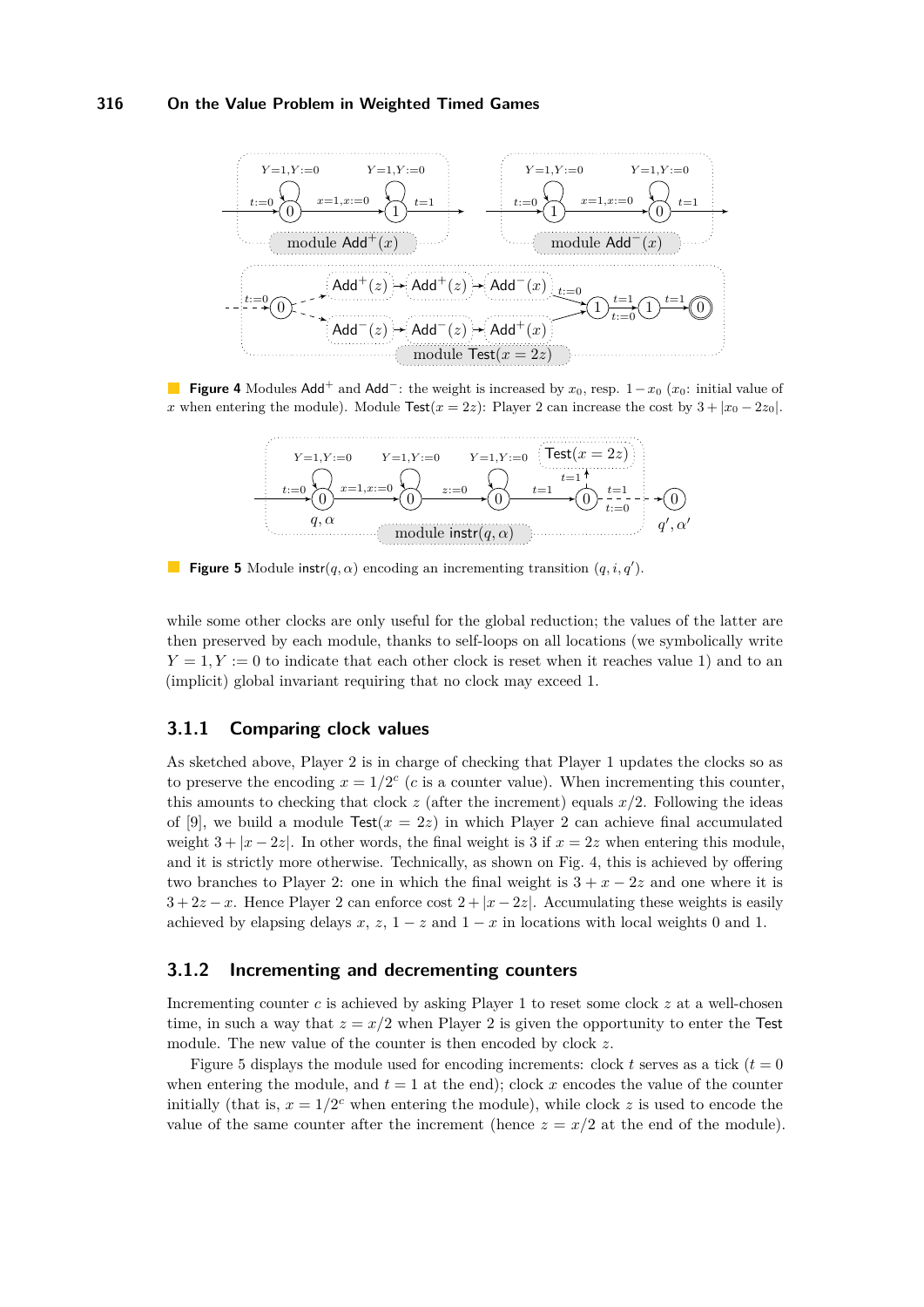<span id="page-5-0"></span>

<span id="page-5-1"></span>**Figure 4** Modules Add<sup>+</sup> and Add<sup>-</sup>: the weight is increased by  $x_0$ , resp.  $1-x_0$  ( $x_0$ : initial value of *x* when entering the module). Module Test( $x = 2z$ ): Player 2 can increase the cost by  $3 + |x_0 - 2z_0|$ .



**Figure 5** Module instr $(q, \alpha)$  encoding an incrementing transition  $(q, i, q')$ .

while some other clocks are only useful for the global reduction; the values of the latter are then preserved by each module, thanks to self-loops on all locations (we symbolically write  $Y = 1, Y := 0$  to indicate that each other clock is reset when it reaches value 1) and to an (implicit) global invariant requiring that no clock may exceed 1.

## **3.1.1 Comparing clock values**

As sketched above, Player 2 is in charge of checking that Player 1 updates the clocks so as to preserve the encoding  $x = 1/2^c$  (*c* is a counter value). When incrementing this counter, this amounts to checking that clock *z* (after the increment) equals *x/*2. Following the ideas of [\[9\]](#page-13-8), we build a module  $\text{Test}(x = 2z)$  in which Player 2 can achieve final accumulated weight  $3 + |x - 2z|$ . In other words, the final weight is 3 if  $x = 2z$  when entering this module, and it is strictly more otherwise. Technically, as shown on Fig. [4,](#page-5-0) this is achieved by offering two branches to Player 2: one in which the final weight is  $3 + x - 2z$  and one where it is  $3 + 2z - x$ . Hence Player 2 can enforce cost  $2 + |x - 2z|$ . Accumulating these weights is easily achieved by elapsing delays  $x$ ,  $z$ ,  $1-z$  and  $1-x$  in locations with local weights 0 and 1.

## **3.1.2 Incrementing and decrementing counters**

Incrementing counter *c* is achieved by asking Player 1 to reset some clock *z* at a well-chosen time, in such a way that  $z = x/2$  when Player 2 is given the opportunity to enter the Test module. The new value of the counter is then encoded by clock *z*.

Figure [5](#page-5-1) displays the module used for encoding increments: clock  $t$  serves as a tick  $(t = 0)$ when entering the module, and  $t = 1$  at the end); clock x encodes the value of the counter initially (that is,  $x = 1/2^c$  when entering the module), while clock *z* is used to encode the value of the same counter after the increment (hence  $z = x/2$  at the end of the module).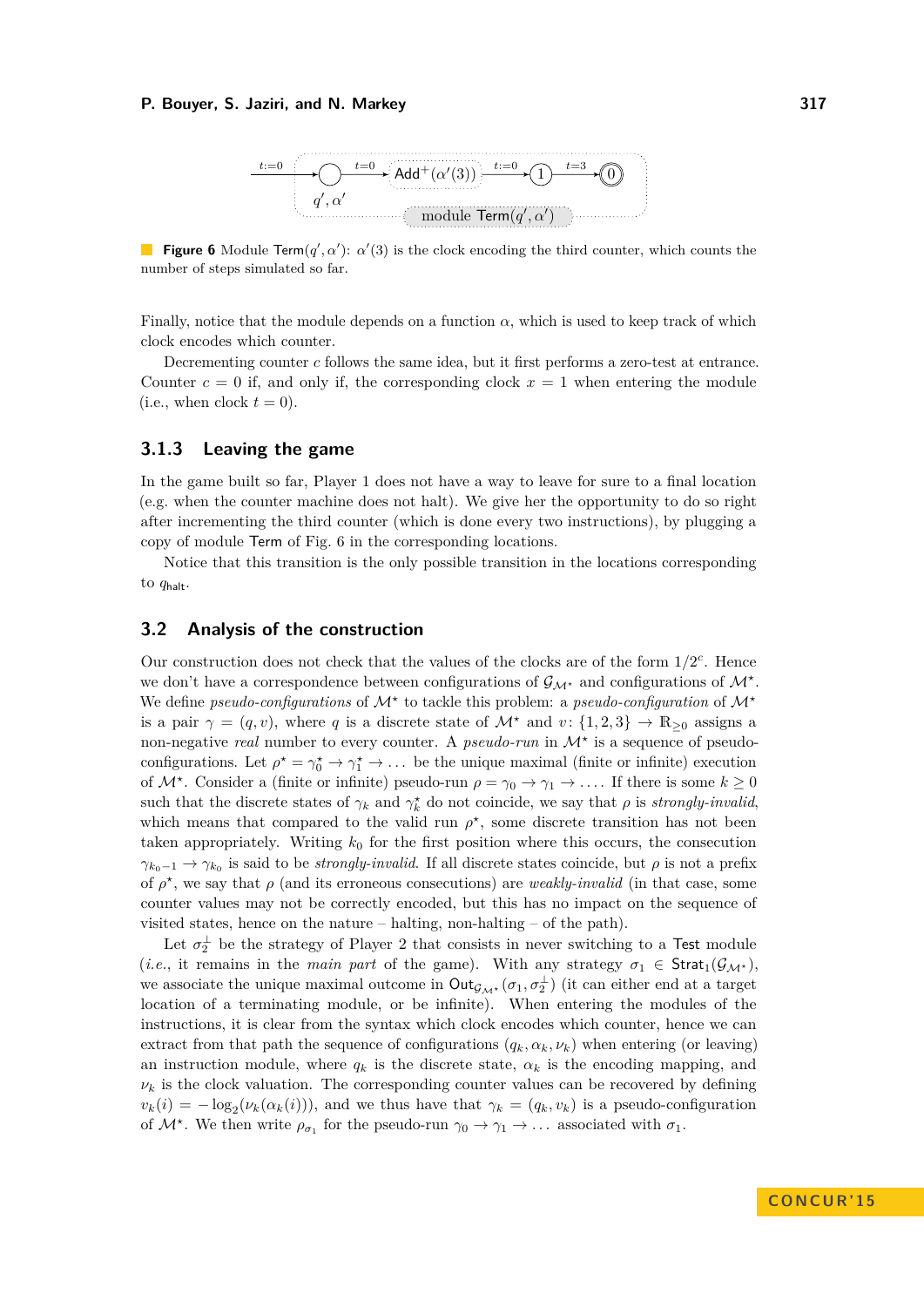<span id="page-6-1"></span>

**Figure 6** Module Term( $q'$ ,  $\alpha'$ ):  $\alpha'(3)$  is the clock encoding the third counter, which counts the number of steps simulated so far.

Finally, notice that the module depends on a function  $\alpha$ , which is used to keep track of which clock encodes which counter.

Decrementing counter *c* follows the same idea, but it first performs a zero-test at entrance. Counter  $c = 0$  if, and only if, the corresponding clock  $x = 1$  when entering the module (i.e., when clock  $t = 0$ ).

# **3.1.3 Leaving the game**

In the game built so far, Player 1 does not have a way to leave for sure to a final location (e.g. when the counter machine does not halt). We give her the opportunity to do so right after incrementing the third counter (which is done every two instructions), by plugging a copy of module Term of Fig. [6](#page-6-1) in the corresponding locations.

Notice that this transition is the only possible transition in the locations corresponding to *q*halt.

## <span id="page-6-0"></span>**3.2 Analysis of the construction**

Our construction does not check that the values of the clocks are of the form  $1/2^c$ . Hence we don't have a correspondence between configurations of  $\mathcal{G}_{\mathcal{M}^*}$  and configurations of  $\mathcal{M}^*$ . We define *pseudo-configurations* of  $\mathcal{M}^*$  to tackle this problem: a *pseudo-configuration* of  $\mathcal{M}^*$ is a pair  $\gamma = (q, v)$ , where q is a discrete state of  $\mathcal{M}^*$  and  $v: \{1, 2, 3\} \to \mathbb{R}_{\geq 0}$  assigns a non-negative *real* number to every counter. A *pseudo-run* in  $\mathcal{M}^*$  is a sequence of pseudoconfigurations. Let  $\rho^* = \gamma_0^* \to \gamma_1^* \to \ldots$  be the unique maximal (finite or infinite) execution of  $\mathcal{M}^*$ . Consider a (finite or infinite) pseudo-run  $\rho = \gamma_0 \to \gamma_1 \to \ldots$  If there is some  $k \geq 0$ such that the discrete states of  $\gamma_k$  and  $\gamma_k^*$  do not coincide, we say that  $\rho$  is *strongly-invalid*, which means that compared to the valid run  $\rho^*$ , some discrete transition has not been taken appropriately. Writing  $k_0$  for the first position where this occurs, the consecution  $\gamma_{k_0-1} \to \gamma_{k_0}$  is said to be *strongly-invalid*. If all discrete states coincide, but  $\rho$  is not a prefix of  $\rho^*$ , we say that  $\rho$  (and its erroneous consecutions) are *weakly-invalid* (in that case, some counter values may not be correctly encoded, but this has no impact on the sequence of visited states, hence on the nature – halting, non-halting – of the path).

Let  $\sigma_2^{\perp}$  be the strategy of Player 2 that consists in never switching to a Test module (*i.e.*, it remains in the *main part* of the game). With any strategy  $\sigma_1 \in \text{Strat}_1(\mathcal{G}_{\mathcal{M}^*})$ , we associate the unique maximal outcome in  $Out_{\mathcal{G}_{\mathcal{M}^*}}(\sigma_1, \sigma_2^{\perp})$  (it can either end at a target location of a terminating module, or be infinite). When entering the modules of the instructions, it is clear from the syntax which clock encodes which counter, hence we can extract from that path the sequence of configurations  $(q_k, \alpha_k, \nu_k)$  when entering (or leaving) an instruction module, where  $q_k$  is the discrete state,  $\alpha_k$  is the encoding mapping, and  $\nu_k$  is the clock valuation. The corresponding counter values can be recovered by defining  $v_k(i) = -\log_2(\nu_k(\alpha_k(i)))$ , and we thus have that  $\gamma_k = (q_k, v_k)$  is a pseudo-configuration of  $\mathcal{M}^*$ . We then write  $\rho_{\sigma_1}$  for the pseudo-run  $\gamma_0 \to \gamma_1 \to \dots$  associated with  $\sigma_1$ .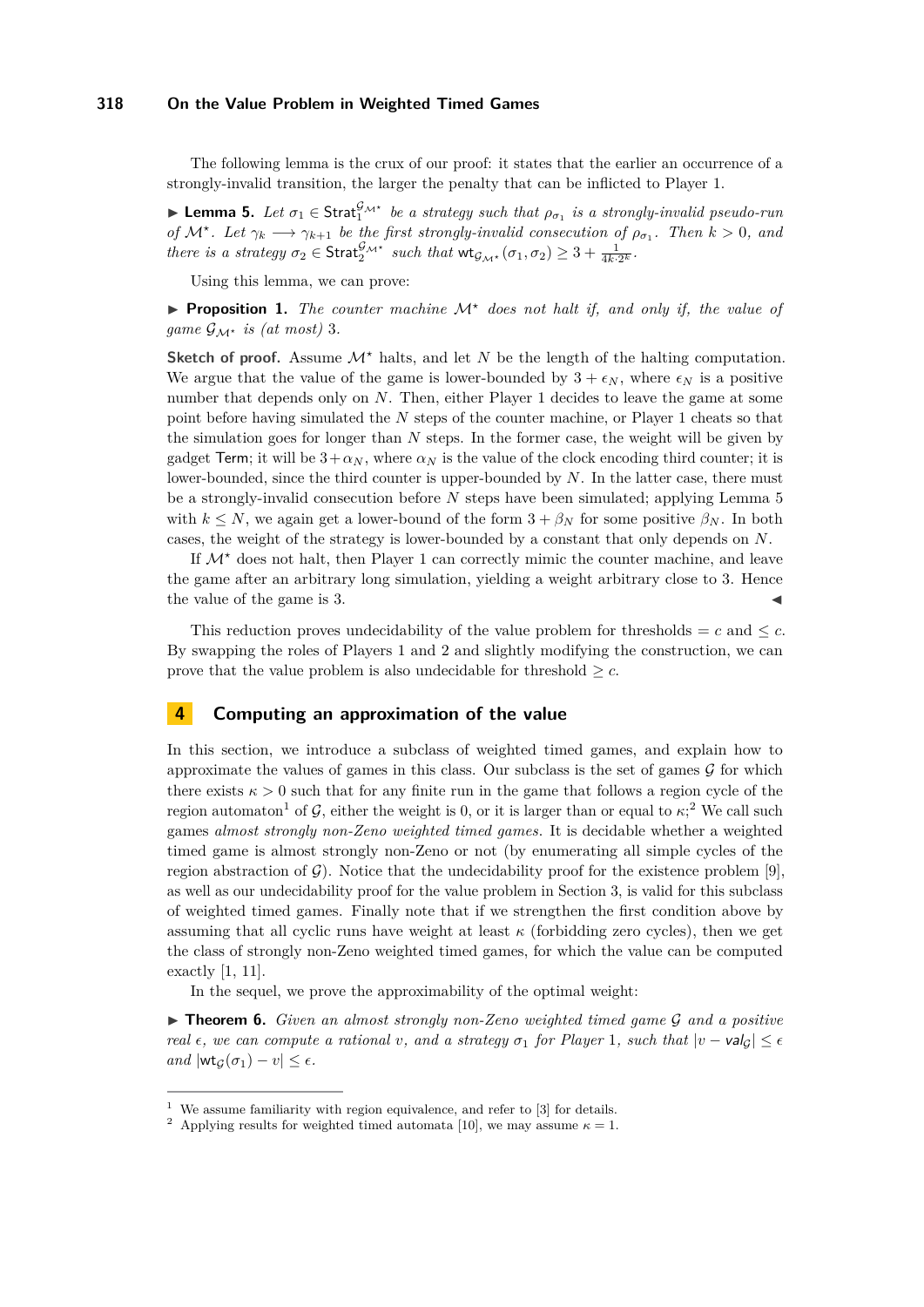The following lemma is the crux of our proof: it states that the earlier an occurrence of a strongly-invalid transition, the larger the penalty that can be inflicted to Player 1.

<span id="page-7-0"></span>**► Lemma 5.** *Let*  $\sigma_1$   $\in$  Strat $_1^{\mathcal{G}_{\mathcal{M}}\star}$  *be a strategy such that*  $\rho_{\sigma_1}$  *is a strongly-invalid pseudo-run of*  $\mathcal{M}^*$ . Let  $\gamma_k \longrightarrow \gamma_{k+1}$  be the first strongly-invalid consecution of  $\rho_{\sigma_1}$ . Then  $k > 0$ , and *there is a strategy*  $\sigma_2 \in \text{Strat}_{2^{\mathcal{M}^*}}^{\mathcal{G}_{\mathcal{M}^*}}$  *such that*  $\text{wt}_{\mathcal{G}_{\mathcal{M}^*}}(\sigma_1, \sigma_2) \geq 3 + \frac{1}{4k \cdot 2^k}$ .

Using this lemma, we can prove:

**Proposition 1.** The counter machine  $\mathcal{M}^*$  does not halt if, and only if, the value of *game*  $\mathcal{G}_{\mathcal{M}^*}$  *is (at most)* 3*.* 

**Sketch of proof.** Assume  $\mathcal{M}^*$  halts, and let *N* be the length of the halting computation. We argue that the value of the game is lower-bounded by  $3 + \epsilon_N$ , where  $\epsilon_N$  is a positive number that depends only on *N*. Then, either Player 1 decides to leave the game at some point before having simulated the *N* steps of the counter machine, or Player 1 cheats so that the simulation goes for longer than *N* steps. In the former case, the weight will be given by gadget Term; it will be  $3 + \alpha_N$ , where  $\alpha_N$  is the value of the clock encoding third counter; it is lower-bounded, since the third counter is upper-bounded by *N*. In the latter case, there must be a strongly-invalid consecution before *N* steps have been simulated; applying Lemma [5](#page-7-0) with  $k \leq N$ , we again get a lower-bound of the form  $3 + \beta_N$  for some positive  $\beta_N$ . In both cases, the weight of the strategy is lower-bounded by a constant that only depends on *N*.

If  $\mathcal{M}^*$  does not halt, then Player 1 can correctly mimic the counter machine, and leave the game after an arbitrary long simulation, yielding a weight arbitrary close to 3. Hence the value of the game is 3.

This reduction proves undecidability of the value problem for thresholds  $=c$  and  $\leq c$ . By swapping the roles of Players 1 and 2 and slightly modifying the construction, we can prove that the value problem is also undecidable for threshold  $\geq c$ .

# **4 Computing an approximation of the value**

In this section, we introduce a subclass of weighted timed games, and explain how to approximate the values of games in this class. Our subclass is the set of games  $\mathcal G$  for which there exists  $\kappa > 0$  such that for any finite run in the game that follows a region cycle of the region automaton<sup>[1](#page-7-1)</sup> of G, either the weight is 0, or it is larger than or equal to  $\kappa$ <sup>[2](#page-7-2)</sup>, We call such games *almost strongly non-Zeno weighted timed games*. It is decidable whether a weighted timed game is almost strongly non-Zeno or not (by enumerating all simple cycles of the region abstraction of  $\mathcal{G}$ ). Notice that the undecidability proof for the existence problem [\[9\]](#page-13-8), as well as our undecidability proof for the value problem in Section [3,](#page-4-0) is valid for this subclass of weighted timed games. Finally note that if we strengthen the first condition above by assuming that all cyclic runs have weight at least  $\kappa$  (forbidding zero cycles), then we get the class of strongly non-Zeno weighted timed games, for which the value can be computed exactly [\[1,](#page-12-4) [11\]](#page-13-3).

In the sequel, we prove the approximability of the optimal weight:

**► Theorem 6.** *Given an almost strongly non-Zeno weighted timed game*  $\mathcal{G}$  *and a positive real*  $\epsilon$ *, we can compute a rational v, and a strategy*  $\sigma_1$  *for Player* 1*, such that*  $|v - v a|_{G}$   $\leq \epsilon$  $and$   $|\text{wt}_G(\sigma_1) - v| \leq \epsilon$ .

<span id="page-7-1"></span><sup>&</sup>lt;sup>1</sup> We assume familiarity with region equivalence, and refer to  $[3]$  for details.

<span id="page-7-2"></span><sup>&</sup>lt;sup>2</sup> Applying results for weighted timed automata [\[10\]](#page-13-17), we may assume  $\kappa = 1$ .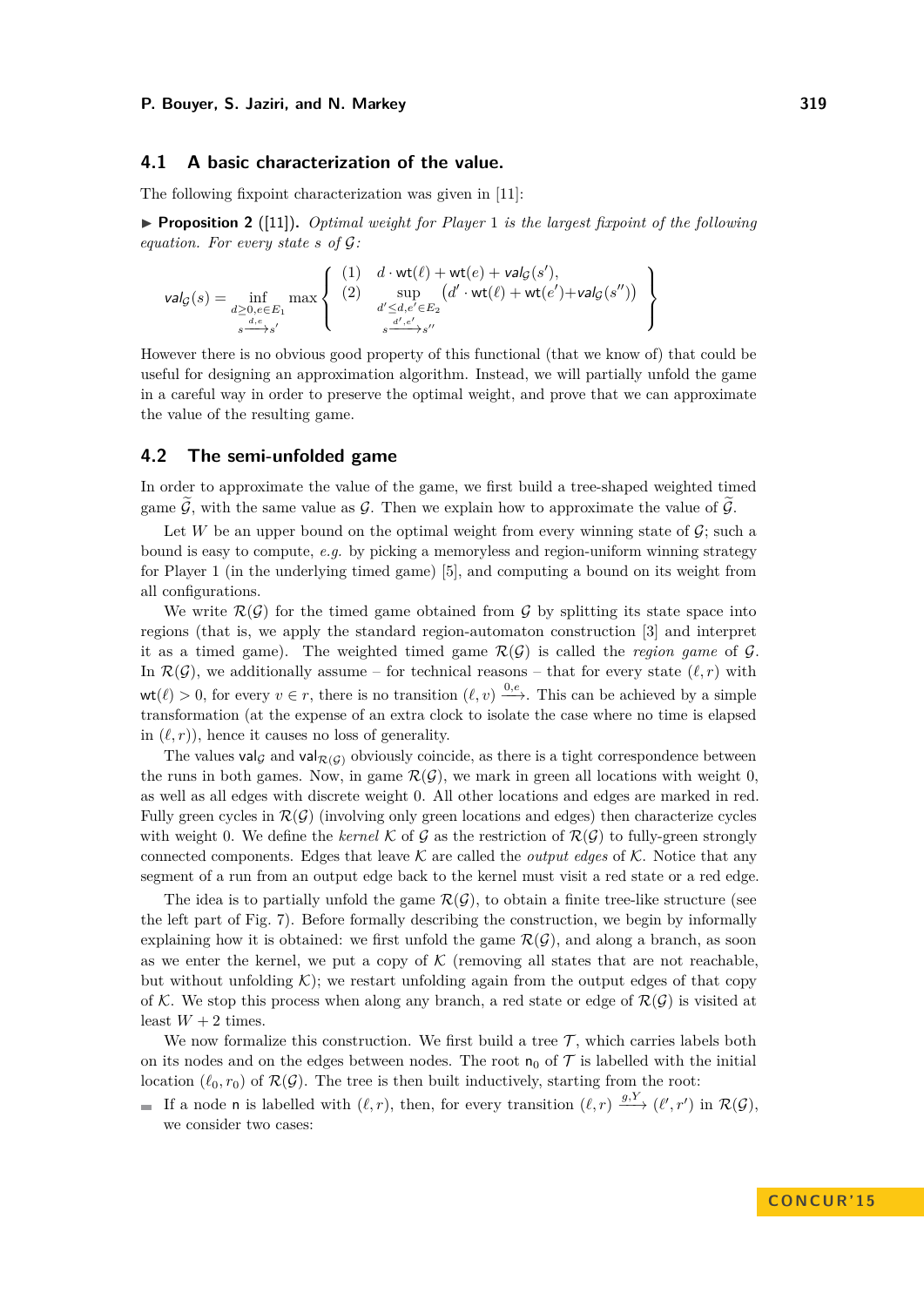## **4.1 A basic characterization of the value.**

The following fixpoint characterization was given in [\[11\]](#page-13-3):

<span id="page-8-0"></span>**Proposition 2** ([\[11\]](#page-13-3)). *Optimal weight for Player* 1 *is the largest fixpoint of the following equation. For every state s of* G*:*

$$
\mathsf{val}_{\mathcal{G}}(s) = \inf_{\substack{d \geq 0, e \in E_1 \\ s \stackrel{d,e}{\longrightarrow} s'}} \max \left\{ \begin{array}{ll} (1) & d \cdot \mathsf{wt}(\ell) + \mathsf{wt}(e) + \mathsf{val}_{\mathcal{G}}(s'), \\ (2) & \sup_{d' \leq d, e' \in E_2} (d' \cdot \mathsf{wt}(\ell) + \mathsf{wt}(e') + \mathsf{val}_{\mathcal{G}}(s'')) \\ s \xrightarrow{d', e'} s'' \end{array} \right\}
$$

However there is no obvious good property of this functional (that we know of) that could be useful for designing an approximation algorithm. Instead, we will partially unfold the game in a careful way in order to preserve the optimal weight, and prove that we can approximate the value of the resulting game.

## **4.2 The semi-unfolded game**

In order to approximate the value of the game, we first build a tree-shaped weighted timed game  $\tilde{\mathcal{G}}$ , with the same value as  $\mathcal{G}$ . Then we explain how to approximate the value of  $\tilde{\mathcal{G}}$ .

Let *W* be an upper bound on the optimal weight from every winning state of  $\mathcal{G}$ ; such a bound is easy to compute, *e.g.* by picking a memoryless and region-uniform winning strategy for Player 1 (in the underlying timed game) [\[5\]](#page-12-1), and computing a bound on its weight from all configurations.

We write  $\mathcal{R}(\mathcal{G})$  for the timed game obtained from  $\mathcal{G}$  by splitting its state space into regions (that is, we apply the standard region-automaton construction [\[3\]](#page-12-0) and interpret it as a timed game). The weighted timed game  $\mathcal{R}(\mathcal{G})$  is called the *region game* of  $\mathcal{G}$ . In  $\mathcal{R}(\mathcal{G})$ , we additionally assume – for technical reasons – that for every state  $(\ell, r)$  with  $wt(\ell) > 0$ , for every  $v \in r$ , there is no transition  $(\ell, v) \xrightarrow{0,e}$ . This can be achieved by a simple transformation (at the expense of an extra clock to isolate the case where no time is elapsed in  $(\ell, r)$ , hence it causes no loss of generality.

The values valge and val $_{\mathcal{R}(G)}$  obviously coincide, as there is a tight correspondence between the runs in both games. Now, in game  $\mathcal{R}(\mathcal{G})$ , we mark in green all locations with weight 0, as well as all edges with discrete weight 0. All other locations and edges are marked in red. Fully green cycles in  $\mathcal{R}(\mathcal{G})$  (involving only green locations and edges) then characterize cycles with weight 0. We define the *kernel* K of G as the restriction of  $\mathcal{R}(G)$  to fully-green strongly connected components. Edges that leave  $\mathcal K$  are called the *output edges* of  $\mathcal K$ . Notice that any segment of a run from an output edge back to the kernel must visit a red state or a red edge.

The idea is to partially unfold the game  $\mathcal{R}(\mathcal{G})$ , to obtain a finite tree-like structure (see the left part of Fig. [7\)](#page-9-0). Before formally describing the construction, we begin by informally explaining how it is obtained: we first unfold the game  $\mathcal{R}(\mathcal{G})$ , and along a branch, as soon as we enter the kernel, we put a copy of  $\mathcal K$  (removing all states that are not reachable, but without unfolding  $K$ ; we restart unfolding again from the output edges of that copy of K. We stop this process when along any branch, a red state or edge of  $\mathcal{R}(\mathcal{G})$  is visited at least  $W + 2$  times.

We now formalize this construction. We first build a tree  $\mathcal{T}$ , which carries labels both on its nodes and on the edges between nodes. The root  $n_0$  of  $\mathcal T$  is labelled with the initial location  $(\ell_0, r_0)$  of  $\mathcal{R}(\mathcal{G})$ . The tree is then built inductively, starting from the root:

If a node n is labelled with  $(\ell, r)$ , then, for every transition  $(\ell, r) \xrightarrow{g, Y} (\ell', r')$  in  $\mathcal{R}(\mathcal{G})$ , we consider two cases: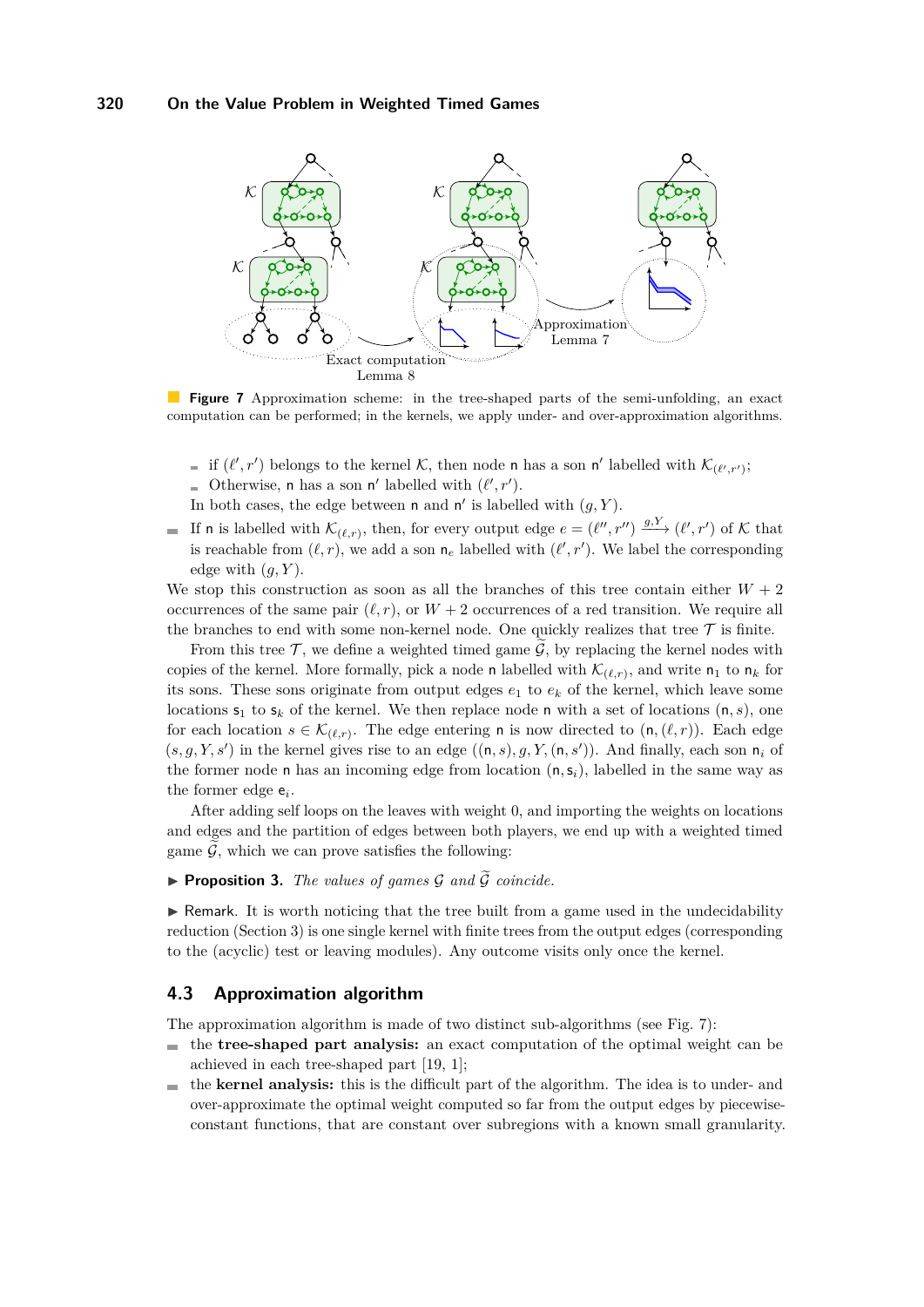<span id="page-9-0"></span>

**Figure 7** Approximation scheme: in the tree-shaped parts of the semi-unfolding, an exact computation can be performed; in the kernels, we apply under- and over-approximation algorithms.

- if  $(\ell', r')$  belongs to the kernel K, then node n has a son n' labelled with  $\mathcal{K}_{(\ell', r')}$ ;
- Otherwise, **n** has a son **n'** labelled with  $(\ell', r')$ .
- In both cases, the edge between  $n$  and  $n'$  is labelled with  $(g, Y)$ .
- If **n** is labelled with  $\mathcal{K}_{(\ell,r)}$ , then, for every output edge  $e = (\ell'', r'') \xrightarrow{g, Y} (\ell', r')$  of K that is reachable from  $(\ell, r)$ , we add a son  $n_e$  labelled with  $(\ell', r')$ . We label the corresponding edge with  $(q, Y)$ .

We stop this construction as soon as all the branches of this tree contain either  $W + 2$ occurrences of the same pair  $(\ell, r)$ , or  $W + 2$  occurrences of a red transition. We require all the branches to end with some non-kernel node. One quickly realizes that tree  $\mathcal T$  is finite.

From this tree  $\mathcal{T}$ , we define a weighted timed game  $\mathcal{G}$ , by replacing the kernel nodes with copies of the kernel. More formally, pick a node n labelled with  $\mathcal{K}_{(\ell,r)}$ , and write  $n_1$  to  $n_k$  for its sons. These sons originate from output edges  $e_1$  to  $e_k$  of the kernel, which leave some locations  $s_1$  to  $s_k$  of the kernel. We then replace node n with a set of locations  $(n, s)$ , one for each location  $s \in \mathcal{K}_{(\ell,r)}$ . The edge entering **n** is now directed to  $(\mathbf{n},(\ell,r))$ . Each edge  $(s, g, Y, s')$  in the kernel gives rise to an edge  $((n, s), g, Y, (n, s'))$ . And finally, each son  $n_i$  of the former node n has an incoming edge from location  $(n, s_i)$ , labelled in the same way as the former edge e*<sup>i</sup>* .

After adding self loops on the leaves with weight 0, and importing the weights on locations and edges and the partition of edges between both players, we end up with a weighted timed game  $\tilde{G}$ , which we can prove satisfies the following:

**Proposition 3.** *The values of games*  $G$  *and*  $\widetilde{G}$  *coincide.* 

 $\triangleright$  Remark. It is worth noticing that the tree built from a game used in the undecidability reduction (Section [3\)](#page-4-0) is one single kernel with finite trees from the output edges (corresponding to the (acyclic) test or leaving modules). Any outcome visits only once the kernel.

# **4.3 Approximation algorithm**

The approximation algorithm is made of two distinct sub-algorithms (see Fig. [7\)](#page-9-0):

- the **tree-shaped part analysis:** an exact computation of the optimal weight can be  $\equiv$ achieved in each tree-shaped part [\[19,](#page-13-2) [1\]](#page-12-4);
- the **kernel analysis:** this is the difficult part of the algorithm. The idea is to under- and  $\sim$ over-approximate the optimal weight computed so far from the output edges by piecewiseconstant functions, that are constant over subregions with a known small granularity.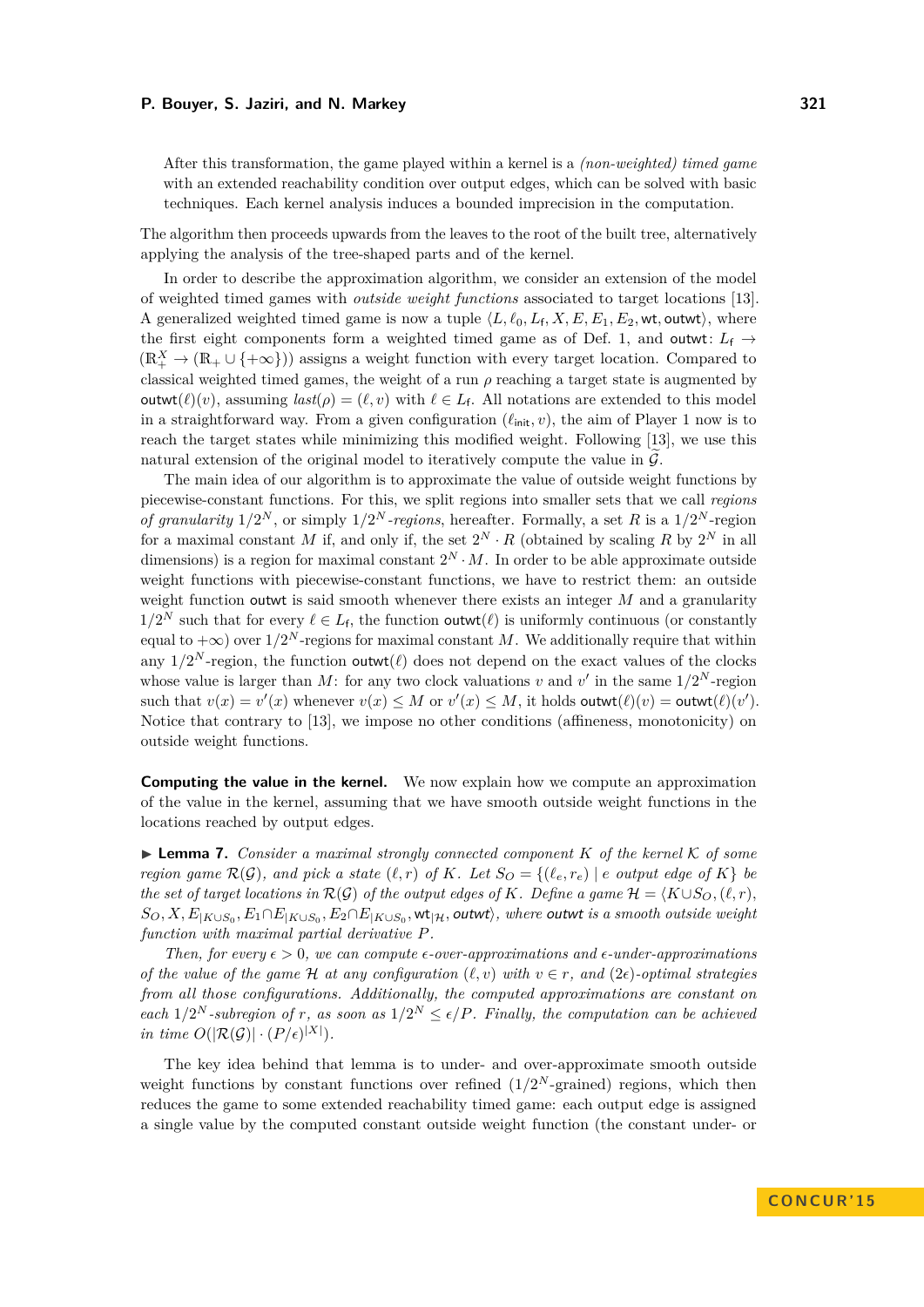After this transformation, the game played within a kernel is a *(non-weighted) timed game* with an extended reachability condition over output edges, which can be solved with basic techniques. Each kernel analysis induces a bounded imprecision in the computation.

The algorithm then proceeds upwards from the leaves to the root of the built tree, alternatively applying the analysis of the tree-shaped parts and of the kernel.

In order to describe the approximation algorithm, we consider an extension of the model of weighted timed games with *outside weight functions* associated to target locations [\[13\]](#page-13-9). A generalized weighted timed game is now a tuple  $\langle L, \ell_0, L_f, X, E, E_1, E_2, \text{wt}, \text{outwt} \rangle$ , where the first eight components form a weighted timed game as of Def. [1,](#page-2-0) and outwit:  $L_f \rightarrow$  $(\mathbb{R}_+^X \to (\mathbb{R}_+ \cup \{+\infty\}))$  assigns a weight function with every target location. Compared to classical weighted timed games, the weight of a run *ρ* reaching a target state is augmented by outwt $(\ell)(v)$ , assuming  $last(\rho) = (\ell, v)$  with  $\ell \in L_f$ . All notations are extended to this model in a straightforward way. From a given configuration  $(\ell_{\text{init}}, v)$ , the aim of Player 1 now is to reach the target states while minimizing this modified weight. Following [\[13\]](#page-13-9), we use this natural extension of the original model to iteratively compute the value in  $\mathcal G$ .

The main idea of our algorithm is to approximate the value of outside weight functions by piecewise-constant functions. For this, we split regions into smaller sets that we call *regions of granularity*  $1/2^N$ , or simply  $1/2^N$ -regions, hereafter. Formally, a set R is a  $1/2^N$ -region for a maximal constant *M* if, and only if, the set  $2^N \cdot R$  (obtained by scaling *R* by  $2^N$  in all dimensions) is a region for maximal constant  $2^N \cdot M$ . In order to be able approximate outside weight functions with piecewise-constant functions, we have to restrict them: an outside weight function outwt is said smooth whenever there exists an integer *M* and a granularity  $1/2^N$  such that for every  $\ell \in L_f$ , the function outwot $(\ell)$  is uniformly continuous (or constantly equal to  $+\infty$ ) over  $1/2^N$ -regions for maximal constant *M*. We additionally require that within any  $1/2^N$ -region, the function outwi $(\ell)$  does not depend on the exact values of the clocks whose value is larger than M: for any two clock valuations *v* and *v'* in the same  $1/2^N$ -region such that  $v(x) = v'(x)$  whenever  $v(x) \leq M$  or  $v'(x) \leq M$ , it holds outwi $(\ell)(v) = \text{output}(\ell)(v')$ . Notice that contrary to [\[13\]](#page-13-9), we impose no other conditions (affineness, monotonicity) on outside weight functions.

**Computing the value in the kernel.** We now explain how we compute an approximation of the value in the kernel, assuming that we have smooth outside weight functions in the locations reached by output edges.

<span id="page-10-0"></span>► **Lemma 7.** *Consider a maximal strongly connected component K of the kernel K of some region game*  $\mathcal{R}(\mathcal{G})$ *, and pick a state*  $(\ell, r)$  *of K. Let*  $S_O = \{(\ell_e, r_e) | e$  *output edge of K* $}$  *be the set of target locations in*  $\mathcal{R}(\mathcal{G})$  *of the output edges of K. Define a game*  $\mathcal{H} = \langle K \cup S_O, (\ell, r) \rangle$  $S_O, X, E_{|K\cup S_0}, E_1\cap E_{|K\cup S_0}, E_2\cap E_{|K\cup S_0},$  wt $_{|\mathcal{H}},$  outwt $\rangle$ *, where outwt is a smooth outside weight function with maximal partial derivative P.*

*Then, for every*  $\epsilon > 0$ *, we can compute*  $\epsilon$ -over-approximations and  $\epsilon$ -under-approximations *of the value of the game*  $H$  *at any configuration*  $(\ell, v)$  *with*  $v \in r$ *, and*  $(2\epsilon)$ *-optimal strategies from all those configurations. Additionally, the computed approximations are constant on each*  $1/2^N$ -subregion of *r*, as soon as  $1/2^N \leq \epsilon/P$ . Finally, the computation can be achieved *in time*  $O(|\mathcal{R}(\mathcal{G})| \cdot (P/\epsilon)^{|X|}).$ 

The key idea behind that lemma is to under- and over-approximate smooth outside weight functions by constant functions over refined  $(1/2<sup>N</sup>$ -grained) regions, which then reduces the game to some extended reachability timed game: each output edge is assigned a single value by the computed constant outside weight function (the constant under- or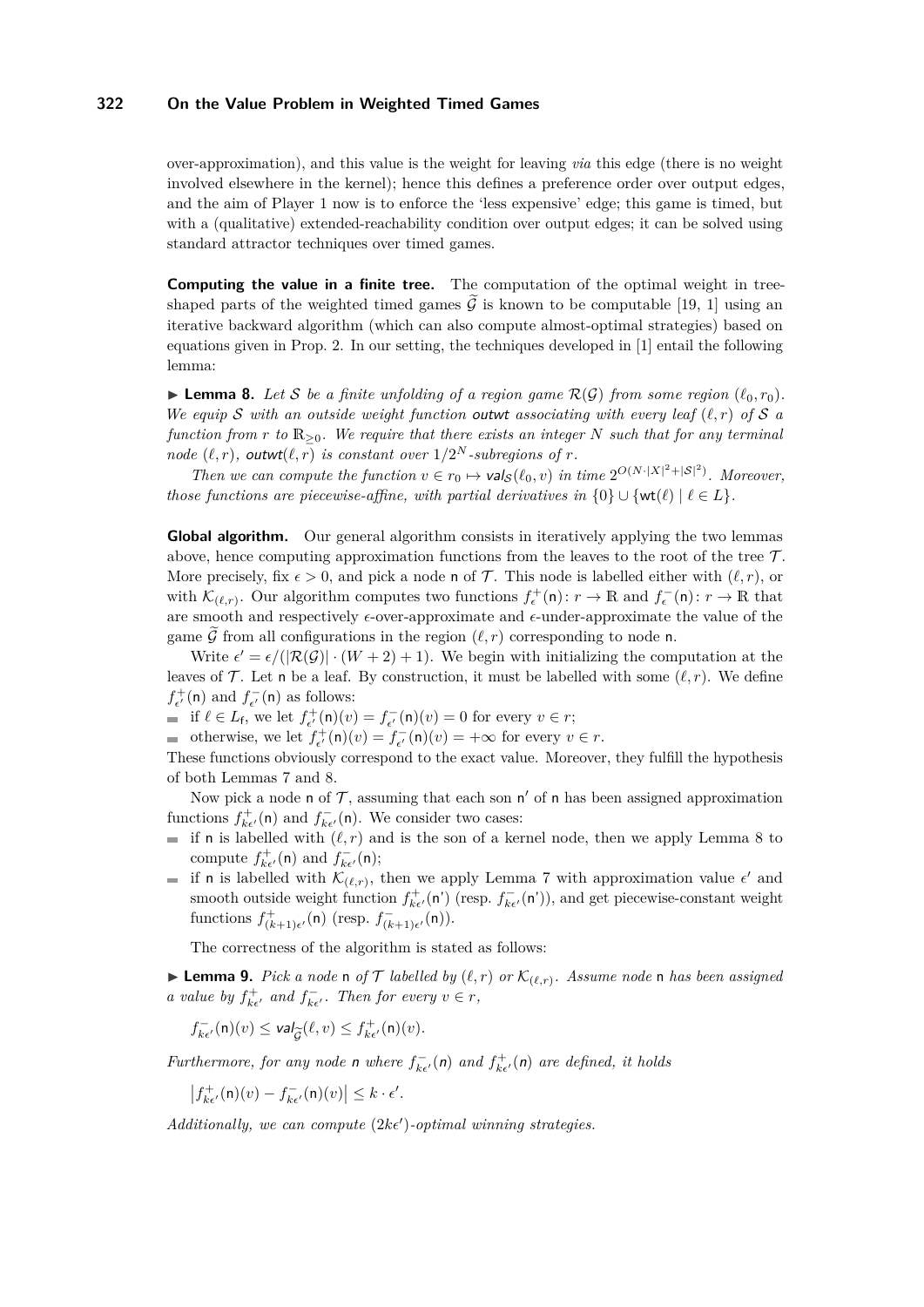over-approximation), and this value is the weight for leaving *via* this edge (there is no weight involved elsewhere in the kernel); hence this defines a preference order over output edges, and the aim of Player 1 now is to enforce the 'less expensive' edge; this game is timed, but with a (qualitative) extended-reachability condition over output edges; it can be solved using standard attractor techniques over timed games.

**Computing the value in a finite tree.** The computation of the optimal weight in treeshaped parts of the weighted timed games  $\hat{G}$  is known to be computable [\[19,](#page-13-2) [1\]](#page-12-4) using an iterative backward algorithm (which can also compute almost-optimal strategies) based on equations given in Prop. [2.](#page-8-0) In our setting, the techniques developed in [\[1\]](#page-12-4) entail the following lemma:

<span id="page-11-0"></span> $\blacktriangleright$  **Lemma 8.** Let S be a finite unfolding of a region game  $\mathcal{R}(\mathcal{G})$  from some region  $(\ell_0, r_0)$ . *We equip* S with an outside weight function outwt associating with every leaf  $(\ell, r)$  of S a *function from r to* R≥0*. We require that there exists an integer N such that for any terminal node*  $(\ell, r)$ *,* outwt $(\ell, r)$  *is constant over*  $1/2^N$ *-subregions of r.* 

*Then we can compute the function*  $v \in r_0 \mapsto \text{val}_{\mathcal{S}}(\ell_0, v)$  *in time*  $2^{O(N \cdot |X|^2 + |\mathcal{S}|^2)}$ *. Moreover, those functions are piecewise-affine, with partial derivatives in*  $\{0\} \cup \{wt(\ell) | \ell \in L\}$ *.* 

**Global algorithm.** Our general algorithm consists in iteratively applying the two lemmas above, hence computing approximation functions from the leaves to the root of the tree  $\mathcal{T}$ . More precisely, fix  $\epsilon > 0$ , and pick a node **n** of T. This node is labelled either with  $(\ell, r)$ , or with  $\mathcal{K}_{(\ell,r)}$ . Our algorithm computes two functions  $f_{\epsilon}^+(\mathsf{n}): r \to \mathbb{R}$  and  $f_{\epsilon}^-(\mathsf{n}): r \to \mathbb{R}$  that are smooth and respectively  $\epsilon\text{-over-approximate}$  and  $\epsilon\text{-under-approximate}$  the value of the game  $\widetilde{\mathcal{G}}$  from all configurations in the region  $(\ell, r)$  corresponding to node n.

Write  $\epsilon' = \epsilon/(|\mathcal{R}(\mathcal{G})| \cdot (W+2) + 1)$ . We begin with initializing the computation at the leaves of  $\mathcal T$ . Let n be a leaf. By construction, it must be labelled with some  $(\ell, r)$ . We define  $f_{\epsilon'}^+(n)$  and  $f_{\epsilon'}^-(n)$  as follows:

if  $\ell \in L_f$ , we let  $f_{\epsilon'}^+(n)(v) = f_{\epsilon'}^-(n)(v) = 0$  for every  $v \in r$ ;

otherwise, we let  $f_{\epsilon'}^+(n)(v) = f_{\epsilon'}^-(n)(v) = +\infty$  for every  $v \in r$ .

These functions obviously correspond to the exact value. Moreover, they fulfill the hypothesis of both Lemmas [7](#page-10-0) and [8.](#page-11-0)

Now pick a node n of  $\mathcal T$ , assuming that each son n' of n has been assigned approximation functions  $f_{k\epsilon'}^+(\mathsf{n})$  and  $f_{k\epsilon'}^-(\mathsf{n})$ . We consider two cases:

- if **n** is labelled with  $(\ell, r)$  and is the son of a kernel node, then we apply Lemma [8](#page-11-0) to compute  $f_{k\epsilon'}^+(\mathsf{n})$  and  $f_{k\epsilon'}^-(\mathsf{n})$ ;
- if n is labelled with  $\mathcal{K}_{(\ell,r)}$ , then we apply Lemma [7](#page-10-0) with approximation value  $\epsilon'$  and smooth outside weight function  $f_{k\epsilon'}^+(\mathsf{n}')$  (resp.  $f_{k\epsilon'}^-(\mathsf{n}'))$ , and get piecewise-constant weight functions  $f^+_{(k+1)\epsilon'}(\mathsf{n})$  (resp.  $f^-_{(k+1)\epsilon'}(\mathsf{n})$ ).

The correctness of the algorithm is stated as follows:

**Lemma 9.** *Pick a node* n *of*  $\mathcal{T}$  *labelled by*  $(\ell, r)$  *or*  $\mathcal{K}_{(\ell,r)}$ *. Assume node* n *has been assigned a value by*  $f_{k\epsilon'}^+$  *and*  $f_{k\epsilon'}^-$ *. Then for every*  $v \in r$ *,* 

$$
f_{k\epsilon'}^-(\mathsf{n})(v) \leq \mathsf{val}_{\widetilde{\mathcal{G}}}(\ell,v) \leq f_{k\epsilon'}^+(\mathsf{n})(v).
$$

*Furthermore, for any node* **n** *where*  $f_{k\epsilon'}^-(n)$  *and*  $f_{k\epsilon'}^+(n)$  *are defined, it holds* 

$$
\left|f_{k\epsilon'}^+(n)(v) - f_{k\epsilon'}^-(n)(v)\right| \leq k \cdot \epsilon'.
$$

 $Additionally, we can compute (2k\epsilon')-optimal winning strategies.$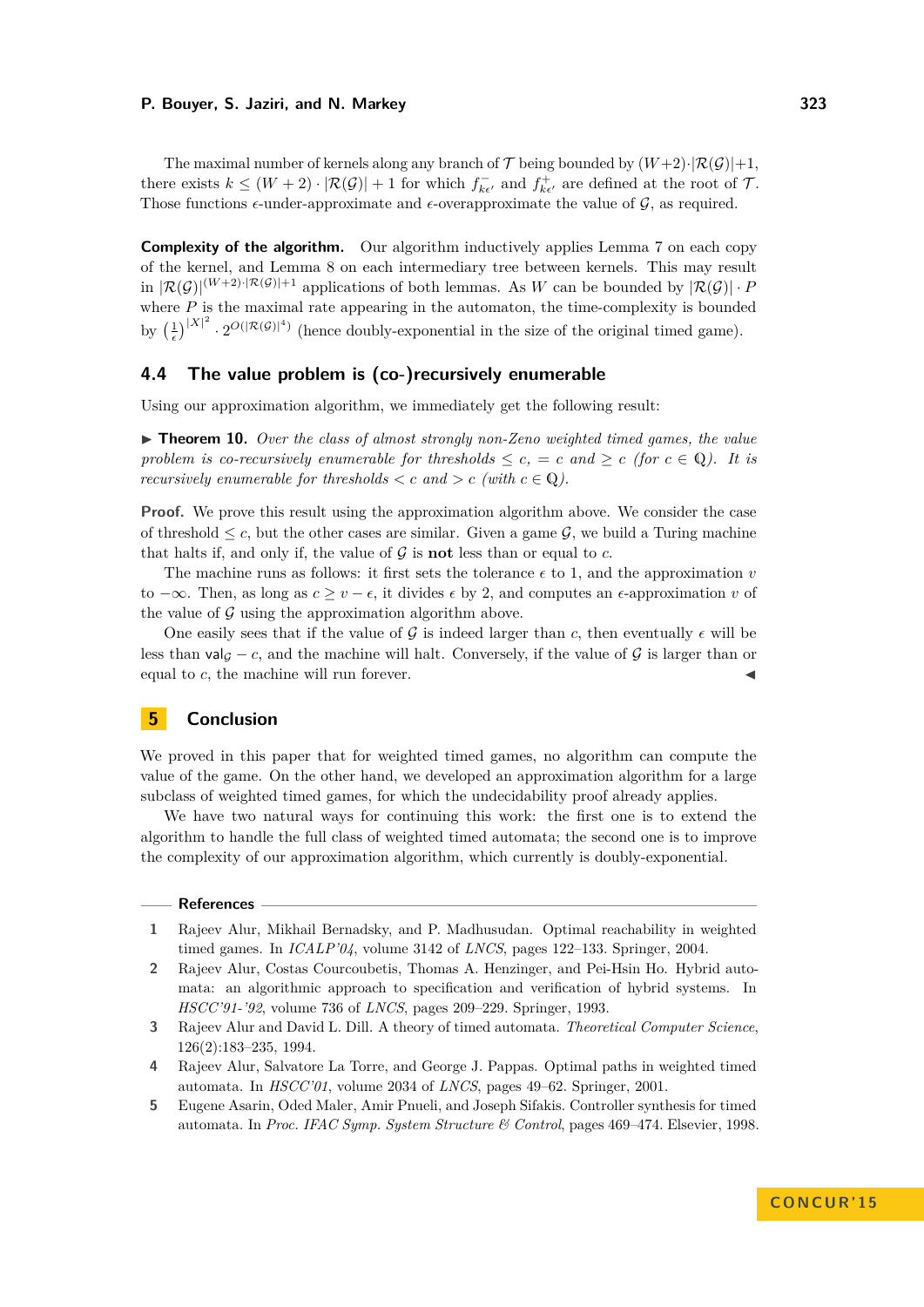The maximal number of kernels along any branch of  $\mathcal T$  being bounded by  $(W+2)\cdot |\mathcal R(\mathcal G)|+1$ , there exists  $k \leq (W+2) \cdot |\mathcal{R}(\mathcal{G})| + 1$  for which  $f_{k\epsilon'}^-$  and  $f_{k\epsilon'}^+$  are defined at the root of  $\mathcal{T}$ . Those functions  $\epsilon$ -under-approximate and  $\epsilon$ -overapproximate the value of  $\mathcal{G}$ , as required.

**Complexity of the algorithm.** Our algorithm inductively applies Lemma [7](#page-10-0) on each copy of the kernel, and Lemma [8](#page-11-0) on each intermediary tree between kernels. This may result in  $|\mathcal{R}(\mathcal{G})|^{(W+2)\cdot|\mathcal{R}(\mathcal{G})|+1}$  applications of both lemmas. As *W* can be bounded by  $|\mathcal{R}(\mathcal{G})|\cdot P$ where  $P$  is the maximal rate appearing in the automaton, the time-complexity is bounded by  $\left(\frac{1}{\epsilon}\right)^{|X|^2} \cdot 2^{O(|\mathcal{R}(\mathcal{G})|^4)}$  (hence doubly-exponential in the size of the original timed game).

# **4.4 The value problem is (co-)recursively enumerable**

Using our approximation algorithm, we immediately get the following result:

► **Theorem 10.** *Over the class of almost strongly non-Zeno weighted timed games, the value problem is co-recursively enumerable for thresholds*  $\leq c$ ,  $= c$  *and*  $\geq c$  *(for*  $c \in \mathbb{Q}$ *). It is recursively enumerable for thresholds*  $\langle c \rangle$  *c and*  $\langle c \rangle$  *c (with*  $c \in \mathbb{Q}$ ).

**Proof.** We prove this result using the approximation algorithm above. We consider the case of threshold  $\leq c$ , but the other cases are similar. Given a game  $\mathcal{G}$ , we build a Turing machine that halts if, and only if, the value of  $\mathcal G$  is **not** less than or equal to  $c$ .

The machine runs as follows: it first sets the tolerance  $\epsilon$  to 1, and the approximation *v* to  $-\infty$ . Then, as long as  $c \ge v - \epsilon$ , it divides  $\epsilon$  by 2, and computes an  $\epsilon$ -approximation *v* of the value of  $\mathcal G$  using the approximation algorithm above.

One easily sees that if the value of  $\mathcal G$  is indeed larger than  $c$ , then eventually  $\epsilon$  will be less than val<sub>G</sub> – *c*, and the machine will halt. Conversely, if the value of G is larger than or equal to  $c$ , the machine will run forever.

## **5 Conclusion**

We proved in this paper that for weighted timed games, no algorithm can compute the value of the game. On the other hand, we developed an approximation algorithm for a large subclass of weighted timed games, for which the undecidability proof already applies.

We have two natural ways for continuing this work: the first one is to extend the algorithm to handle the full class of weighted timed automata; the second one is to improve the complexity of our approximation algorithm, which currently is doubly-exponential.

#### **References**

- <span id="page-12-4"></span>**1** Rajeev Alur, Mikhail Bernadsky, and P. Madhusudan. Optimal reachability in weighted timed games. In *ICALP'04*, volume 3142 of *LNCS*, pages 122–133. Springer, 2004.
- <span id="page-12-2"></span>**2** Rajeev Alur, Costas Courcoubetis, Thomas A. Henzinger, and Pei-Hsin Ho. Hybrid automata: an algorithmic approach to specification and verification of hybrid systems. In *HSCC'91-'92*, volume 736 of *LNCS*, pages 209–229. Springer, 1993.
- <span id="page-12-0"></span>**3** Rajeev Alur and David L. Dill. A theory of timed automata. *Theoretical Computer Science*, 126(2):183–235, 1994.
- <span id="page-12-3"></span>**4** Rajeev Alur, Salvatore La Torre, and George J. Pappas. Optimal paths in weighted timed automata. In *HSCC'01*, volume 2034 of *LNCS*, pages 49–62. Springer, 2001.
- <span id="page-12-1"></span>**5** Eugene Asarin, Oded Maler, Amir Pnueli, and Joseph Sifakis. Controller synthesis for timed automata. In *Proc. IFAC Symp. System Structure & Control*, pages 469–474. Elsevier, 1998.